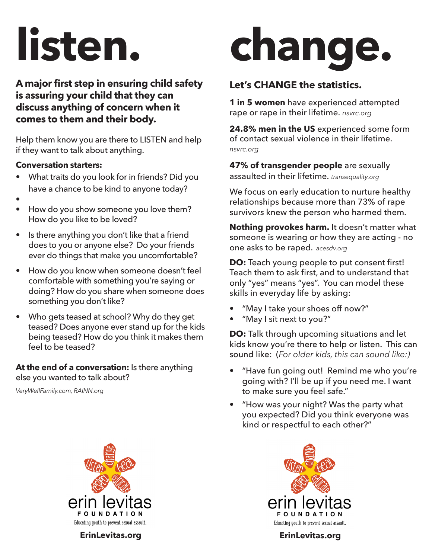## **listen.**

**A major first step in ensuring child safety is assuring your child that they can discuss anything of concern when it comes to them and their body.**

Help them know you are there to LISTEN and help if they want to talk about anything.

#### **Conversation starters:**

- What traits do you look for in friends? Did you have a chance to be kind to anyone today?
- •
- How do you show someone you love them? How do you like to be loved?
- Is there anything you don't like that a friend does to you or anyone else? Do your friends ever do things that make you uncomfortable?
- How do you know when someone doesn't feel comfortable with something you're saying or doing? How do you share when someone does something you don't like?
- Who gets teased at school? Why do they get teased? Does anyone ever stand up for the kids being teased? How do you think it makes them feel to be teased?

**At the end of a conversation:** Is there anything else you wanted to talk about?

*VeryWellFamily.com, RAINN.org*



**ErinLevitas.org ErinLevitas.org**

# **change.**

### **Let's CHANGE the statistics.**

**1 in 5 women** have experienced attempted rape or rape in their lifetime. *nsvrc.org*

**24.8% men in the US** experienced some form of contact sexual violence in their lifetime. *nsvrc.org*

**47% of transgender people** are sexually assaulted in their lifetime. *transequality.org*

We focus on early education to nurture healthy relationships because more than 73% of rape survivors knew the person who harmed them.

**Nothing provokes harm.** It doesn't matter what someone is wearing or how they are acting - no one asks to be raped. *acesdv.org*

**DO:** Teach young people to put consent first! Teach them to ask first, and to understand that only "yes" means "yes". You can model these skills in everyday life by asking:

- "May I take your shoes off now?"
- "May I sit next to you?"

**DO:** Talk through upcoming situations and let kids know you're there to help or listen. This can sound like: (*For older kids, this can sound like:)*

- "Have fun going out! Remind me who you're going with? I'll be up if you need me. I want to make sure you feel safe."
- "How was your night? Was the party what you expected? Did you think everyone was kind or respectful to each other?"